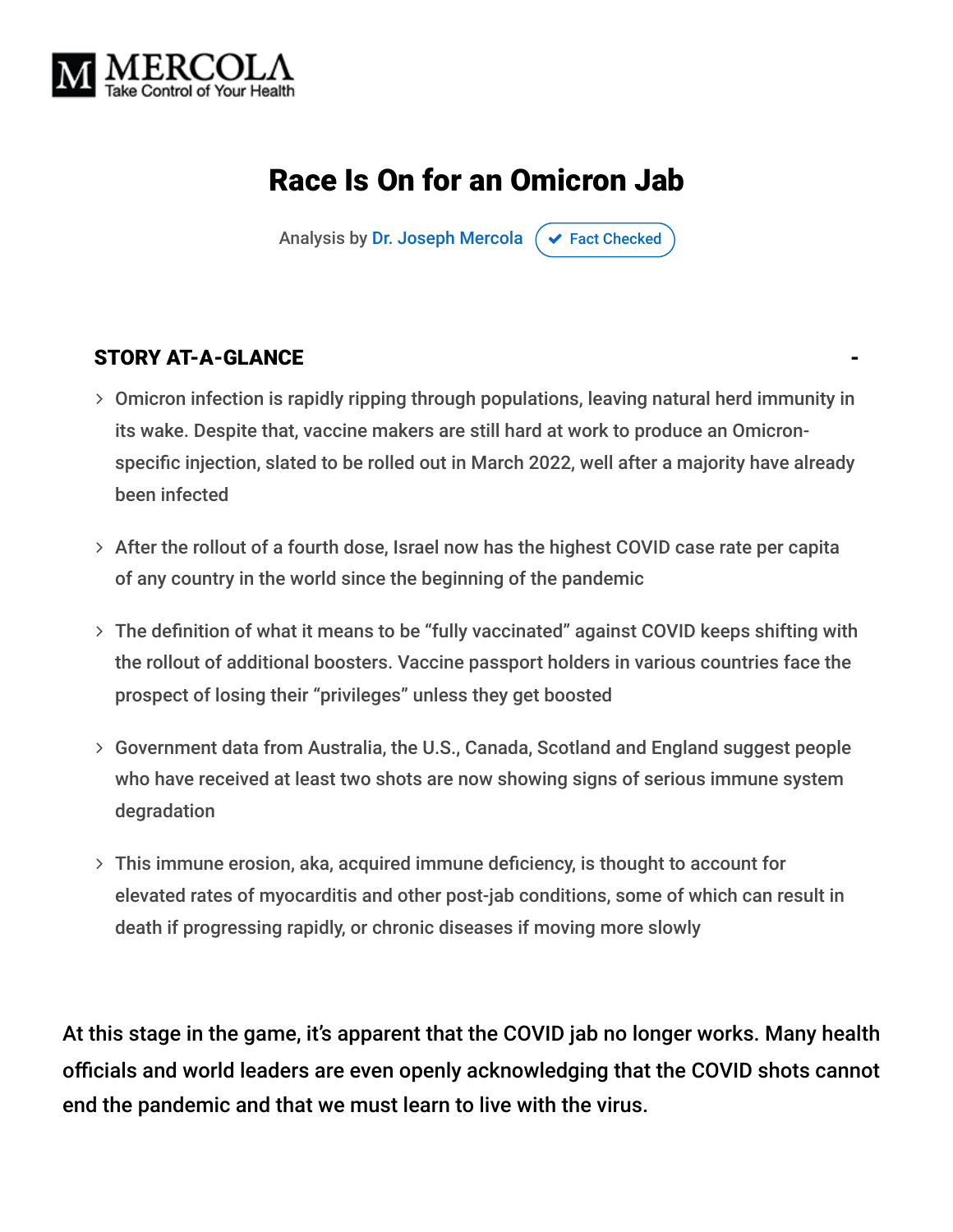

## Race Is On for an Omicron Jab

Analysis by [Dr. Joseph Mercola](https://www.mercola.com/forms/background.htm)  $\sigma$  [Fact Checked](javascript:void(0))

### STORY AT-A-GLANCE

- Omicron infection is rapidly ripping through populations, leaving natural herd immunity in its wake. Despite that, vaccine makers are still hard at work to produce an Omicronspecific injection, slated to be rolled out in March 2022, well after a majority have already been infected
- $>$  After the rollout of a fourth dose, Israel now has the highest COVID case rate per capita of any country in the world since the beginning of the pandemic
- The definition of what it means to be "fully vaccinated" against COVID keeps shifting with the rollout of additional boosters. Vaccine passport holders in various countries face the prospect of losing their "privileges" unless they get boosted
- Government data from Australia, the U.S., Canada, Scotland and England suggest people who have received at least two shots are now showing signs of serious immune system degradation
- This immune erosion, aka, acquired immune deficiency, is thought to account for elevated rates of myocarditis and other post-jab conditions, some of which can result in death if progressing rapidly, or chronic diseases if moving more slowly

At this stage in the game, it's apparent that the COVID jab no longer works. Many health officials and world leaders are even openly acknowledging that the COVID shots cannot end the pandemic and that we must learn to live with the virus.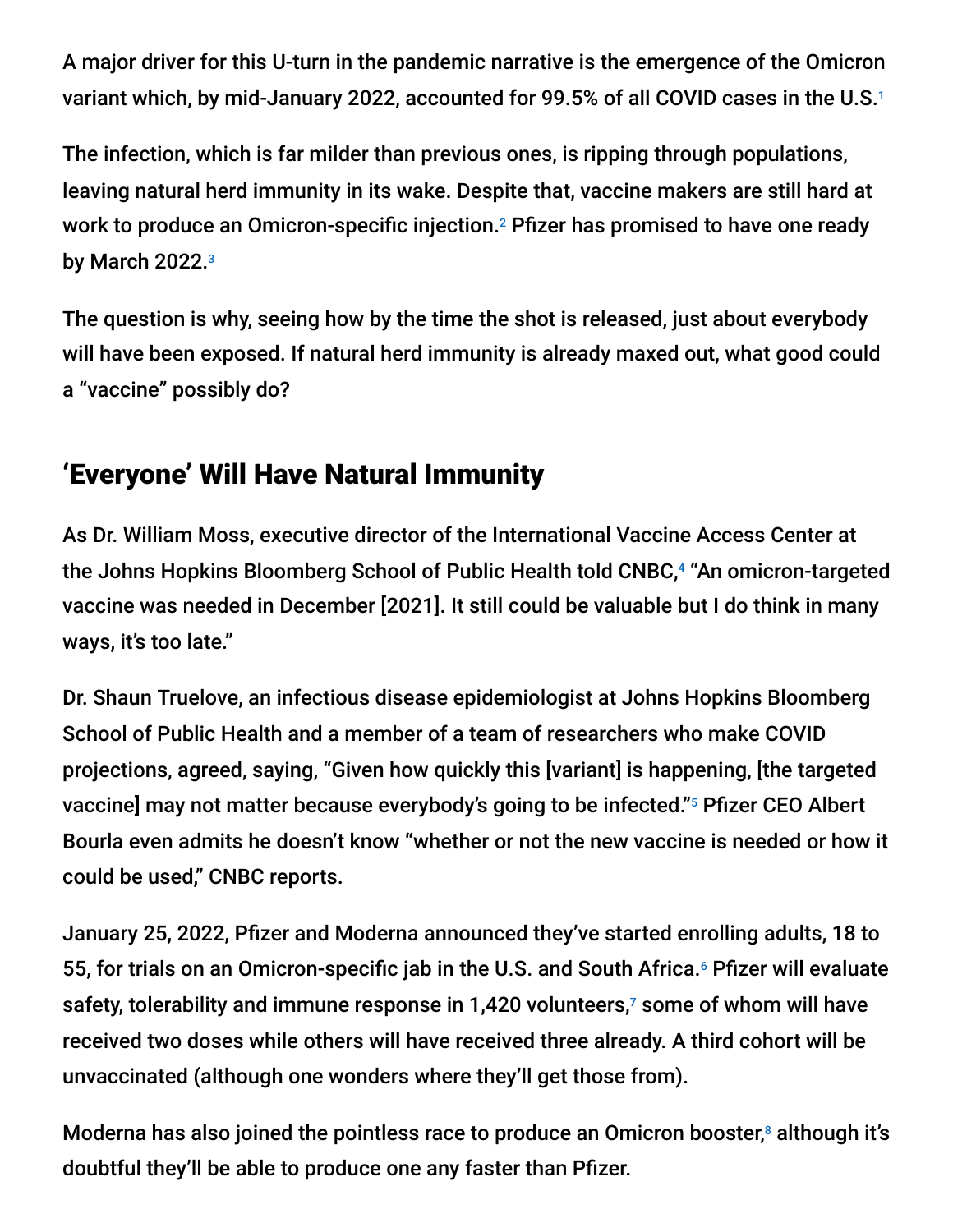A major driver for this U-turn in the pandemic narrative is the emergence of the Omicron variant which, by mid-January 2022, accounted for 99.5% of all COVID cases in the U.S. 1

The infection, which is far milder than previous ones, is ripping through populations, leaving natural herd immunity in its wake. Despite that, vaccine makers are still hard at work to produce an Omicron-specific injection.<sup>2</sup> Pfizer has promised to have one ready by March 2022. 3

The question is why, seeing how by the time the shot is released, just about everybody will have been exposed. If natural herd immunity is already maxed out, what good could a "vaccine" possibly do?

## 'Everyone' Will Have Natural Immunity

As Dr. William Moss, executive director of the International Vaccine Access Center at the Johns Hopkins Bloomberg School of Public Health told CNBC,<sup>4</sup> "An omicron-targeted vaccine was needed in December [2021]. It still could be valuable but I do think in many ways, it's too late."

Dr. Shaun Truelove, an infectious disease epidemiologist at Johns Hopkins Bloomberg School of Public Health and a member of a team of researchers who make COVID projections, agreed, saying, "Given how quickly this [variant] is happening, [the targeted vaccine] may not matter because everybody's going to be infected."5 Pfizer CEO Albert Bourla even admits he doesn't know "whether or not the new vaccine is needed or how it could be used," CNBC reports.

January 25, 2022, Pfizer and Moderna announced they've started enrolling adults, 18 to 55, for trials on an Omicron-specific jab in the U.S. and South Africa.<sup>6</sup> Pfizer will evaluate safety, tolerability and immune response in 1,420 volunteers, $\bar{\ }$  some of whom will have received two doses while others will have received three already. A third cohort will be unvaccinated (although one wonders where they'll get those from).

Moderna has also joined the pointless race to produce an Omicron booster,<sup>8</sup> although it's doubtful they'll be able to produce one any faster than Pfizer.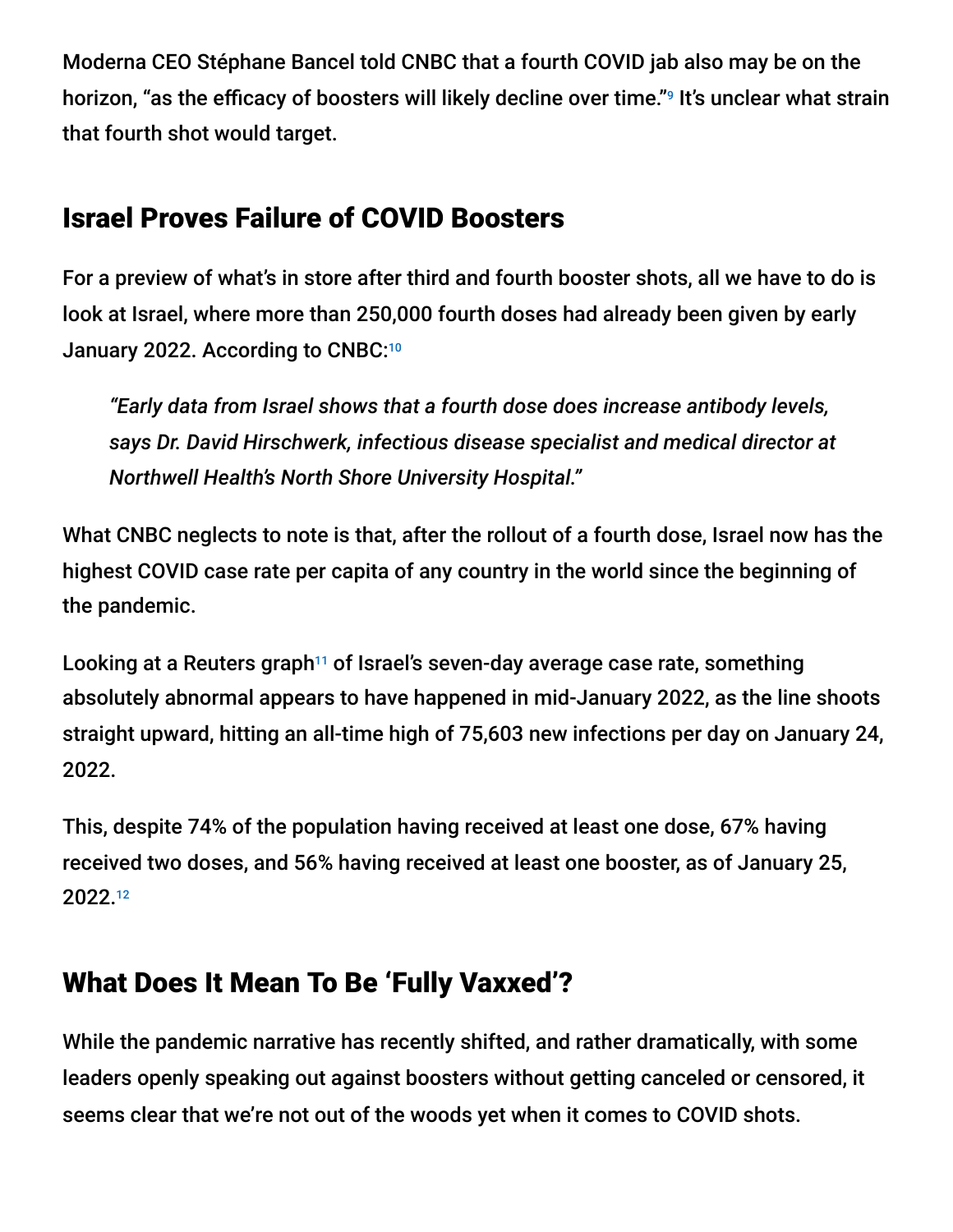Moderna CEO Stéphane Bancel told CNBC that a fourth COVID jab also may be on the horizon, "as the efficacy of boosters will likely decline over time."<sup>9</sup> It's unclear what strain that fourth shot would target.

### Israel Proves Failure of COVID Boosters

For a preview of what's in store after third and fourth booster shots, all we have to do is look at Israel, where more than 250,000 fourth doses had already been given by early January 2022. According to CNBC:<sup>10</sup>

*"Early data from Israel shows that a fourth dose does increase antibody levels, says Dr. David Hirschwerk, infectious disease specialist and medical director at Northwell Health's North Shore University Hospital."*

What CNBC neglects to note is that, after the rollout of a fourth dose, Israel now has the highest COVID case rate per capita of any country in the world since the beginning of the pandemic.

Looking at a Reuters graph<sup>11</sup> of Israel's seven-day average case rate, something absolutely abnormal appears to have happened in mid-January 2022, as the line shoots straight upward, hitting an all-time high of 75,603 new infections per day on January 24, 2022.

This, despite 74% of the population having received at least one dose, 67% having received two doses, and 56% having received at least one booster, as of January 25, 2022. 12

## What Does It Mean To Be 'Fully Vaxxed'?

While the pandemic narrative has recently shifted, and rather dramatically, with some leaders openly speaking out against boosters without getting canceled or censored, it seems clear that we're not out of the woods yet when it comes to COVID shots.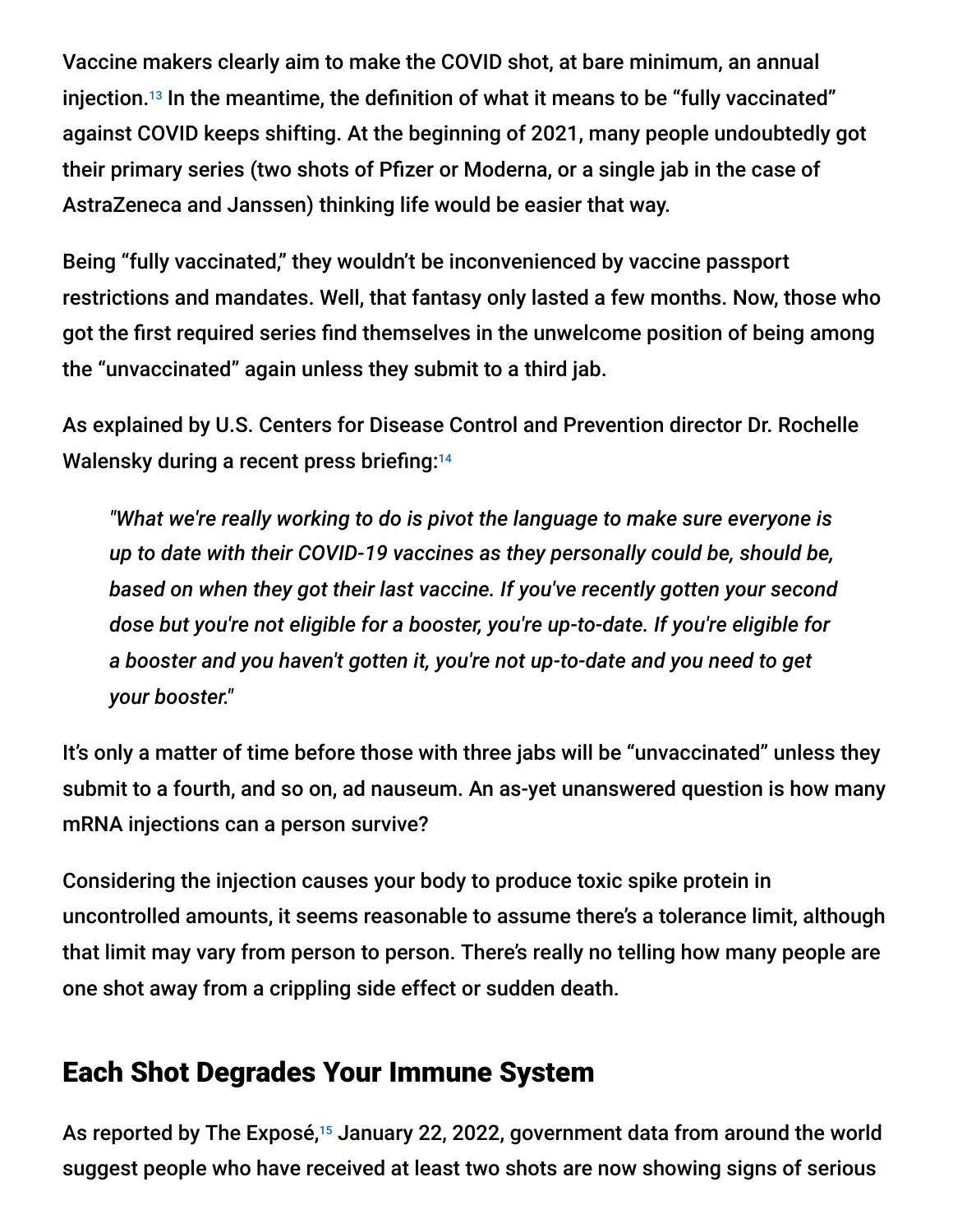Vaccine makers clearly aim to make the COVID shot, at bare minimum, an annual injection.<sup>13</sup> In the meantime, the definition of what it means to be "fully vaccinated" against COVID keeps shifting. At the beginning of 2021, many people undoubtedly got their primary series (two shots of Pfizer or Moderna, or a single jab in the case of AstraZeneca and Janssen) thinking life would be easier that way.

Being "fully vaccinated," they wouldn't be inconvenienced by vaccine passport restrictions and mandates. Well, that fantasy only lasted a few months. Now, those who got the first required series find themselves in the unwelcome position of being among the "unvaccinated" again unless they submit to a third jab.

As explained by U.S. Centers for Disease Control and Prevention director Dr. Rochelle Walensky during a recent press briefing: 14

*"What we're really working to do is pivot the language to make sure everyone is up to date with their COVID-19 vaccines as they personally could be, should be, based on when they got their last vaccine. If you've recently gotten your second dose but you're not eligible for a booster, you're up-to-date. If you're eligible for a booster and you haven't gotten it, you're not up-to-date and you need to get your booster."*

It's only a matter of time before those with three jabs will be "unvaccinated" unless they submit to a fourth, and so on, ad nauseum. An as-yet unanswered question is how many mRNA injections can a person survive?

Considering the injection causes your body to produce toxic spike protein in uncontrolled amounts, it seems reasonable to assume there's a tolerance limit, although that limit may vary from person to person. There's really no telling how many people are one shot away from a crippling side effect or sudden death.

### Each Shot Degrades Your Immune System

As reported by The Exposé,<sup>15</sup> January 22, 2022, government data from around the world suggest people who have received at least two shots are now showing signs of serious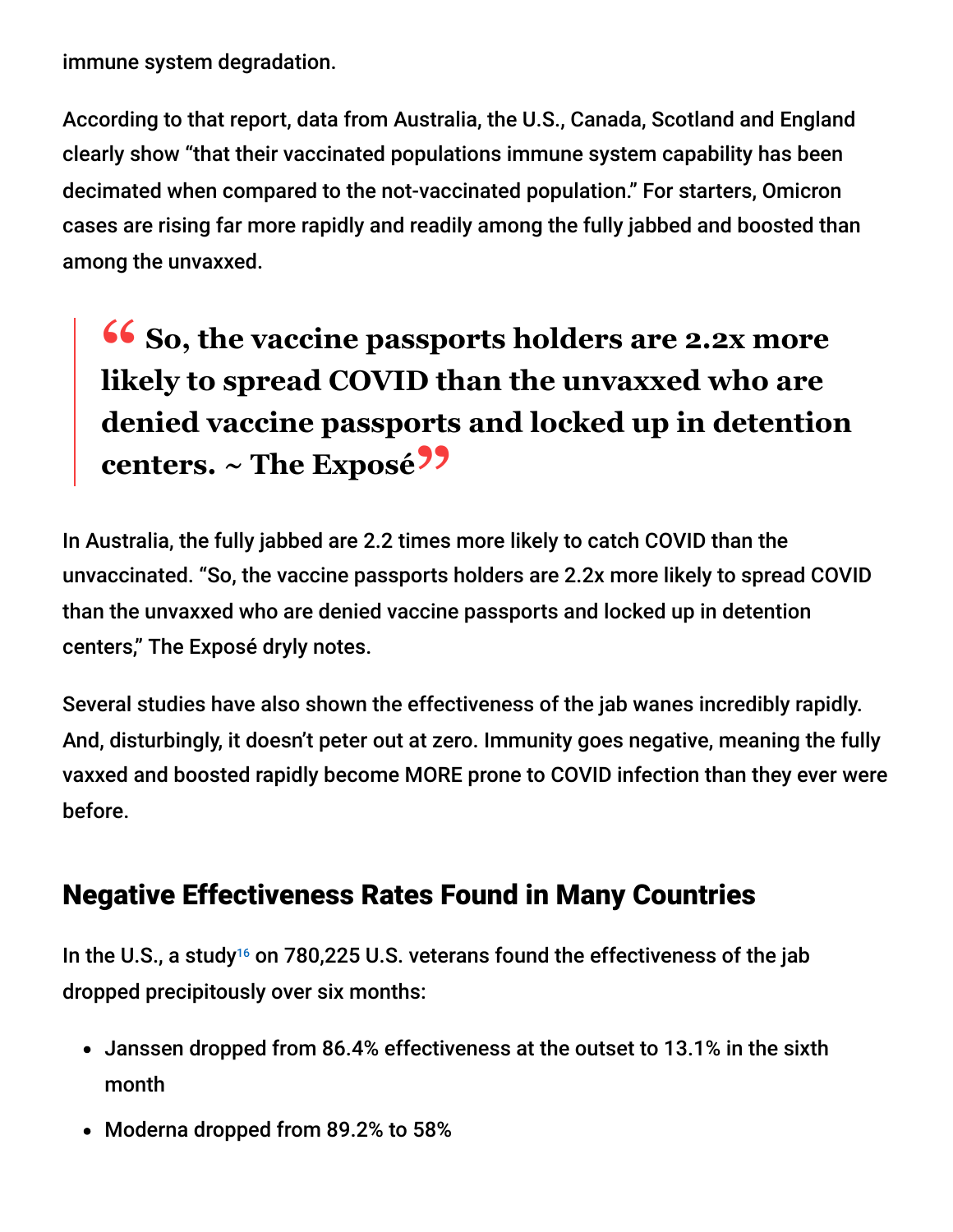immune system degradation.

According to that report, data from Australia, the U.S., Canada, Scotland and England clearly show "that their vaccinated populations immune system capability has been decimated when compared to the not-vaccinated population." For starters, Omicron cases are rising far more rapidly and readily among the fully jabbed and boosted than among the unvaxxed.

# **<sup>66</sup>** So, the vaccine passports holders are 2.2x more<br>likely to spread COVID than the unvayyed who are **likely to spread COVID than the unvaxxed who are denied vaccine passports and locked up in detention centers. ~ The Exposé"**

In Australia, the fully jabbed are 2.2 times more likely to catch COVID than the unvaccinated. "So, the vaccine passports holders are 2.2x more likely to spread COVID than the unvaxxed who are denied vaccine passports and locked up in detention centers," The Exposé dryly notes.

Several studies have also shown the effectiveness of the jab wanes incredibly rapidly. And, disturbingly, it doesn't peter out at zero. Immunity goes negative, meaning the fully vaxxed and boosted rapidly become MORE prone to COVID infection than they ever were before.

## Negative Effectiveness Rates Found in Many Countries

In the U.S., a study<sup>16</sup> on 780,225 U.S. veterans found the effectiveness of the jab dropped precipitously over six months:

- Janssen dropped from 86.4% effectiveness at the outset to 13.1% in the sixth month
- Moderna dropped from 89.2% to 58%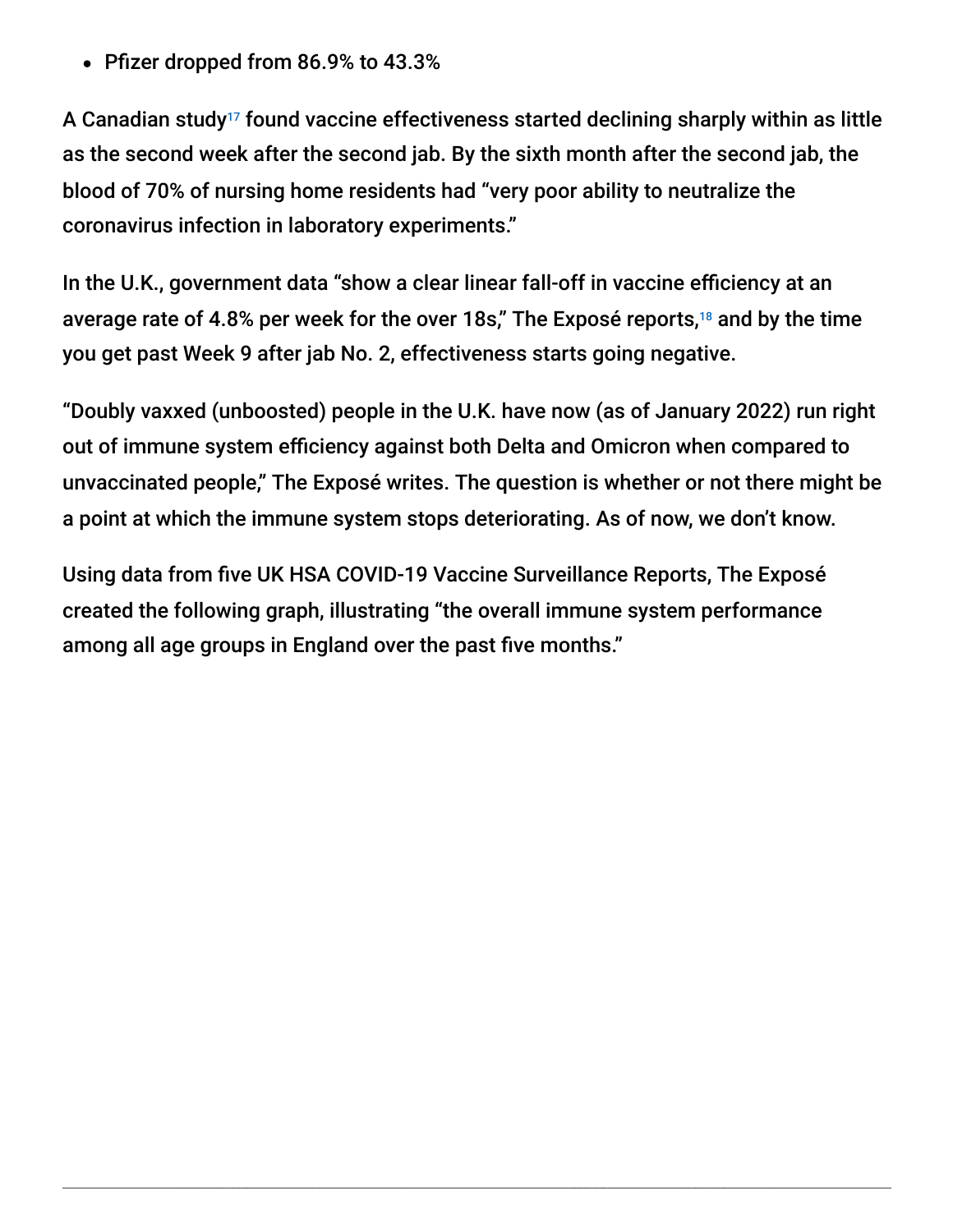Pfizer dropped from 86.9% to 43.3%

A Canadian study<sup>17</sup> found vaccine effectiveness started declining sharply within as little as the second week after the second jab. By the sixth month after the second jab, the blood of 70% of nursing home residents had "very poor ability to neutralize the coronavirus infection in laboratory experiments."

In the U.K., government data "show a clear linear fall-off in vaccine efficiency at an average rate of 4.8% per week for the over 18s," The Exposé reports, $18$  and by the time you get past Week 9 after jab No. 2, effectiveness starts going negative.

"Doubly vaxxed (unboosted) people in the U.K. have now (as of January 2022) run right out of immune system efficiency against both Delta and Omicron when compared to unvaccinated people," The Exposé writes. The question is whether or not there might be a point at which the immune system stops deteriorating. As of now, we don't know.

Using data from five UK HSA COVID-19 Vaccine Surveillance Reports, The Exposé created the following graph, illustrating "the overall immune system performance among all age groups in England over the past five months."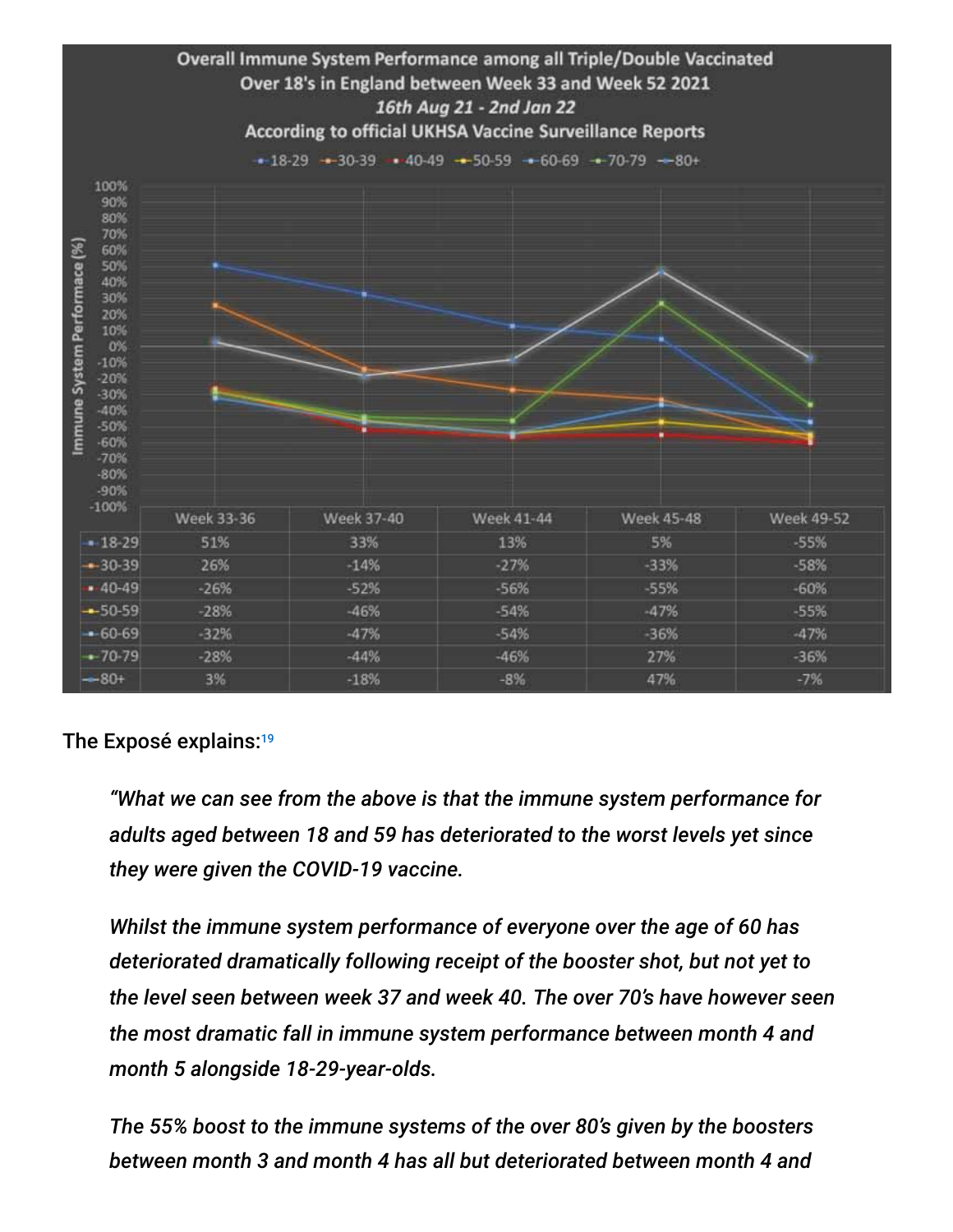

#### The Exposé explains: 19

*"What we can see from the above is that the immune system performance for adults aged between 18 and 59 has deteriorated to the worst levels yet since they were given the COVID-19 vaccine.*

*Whilst the immune system performance of everyone over the age of 60 has deteriorated dramatically following receipt of the booster shot, but not yet to the level seen between week 37 and week 40. The over 70's have however seen the most dramatic fall in immune system performance between month 4 and month 5 alongside 18-29-year-olds.*

*The 55% boost to the immune systems of the over 80's given by the boosters between month 3 and month 4 has all but deteriorated between month 4 and*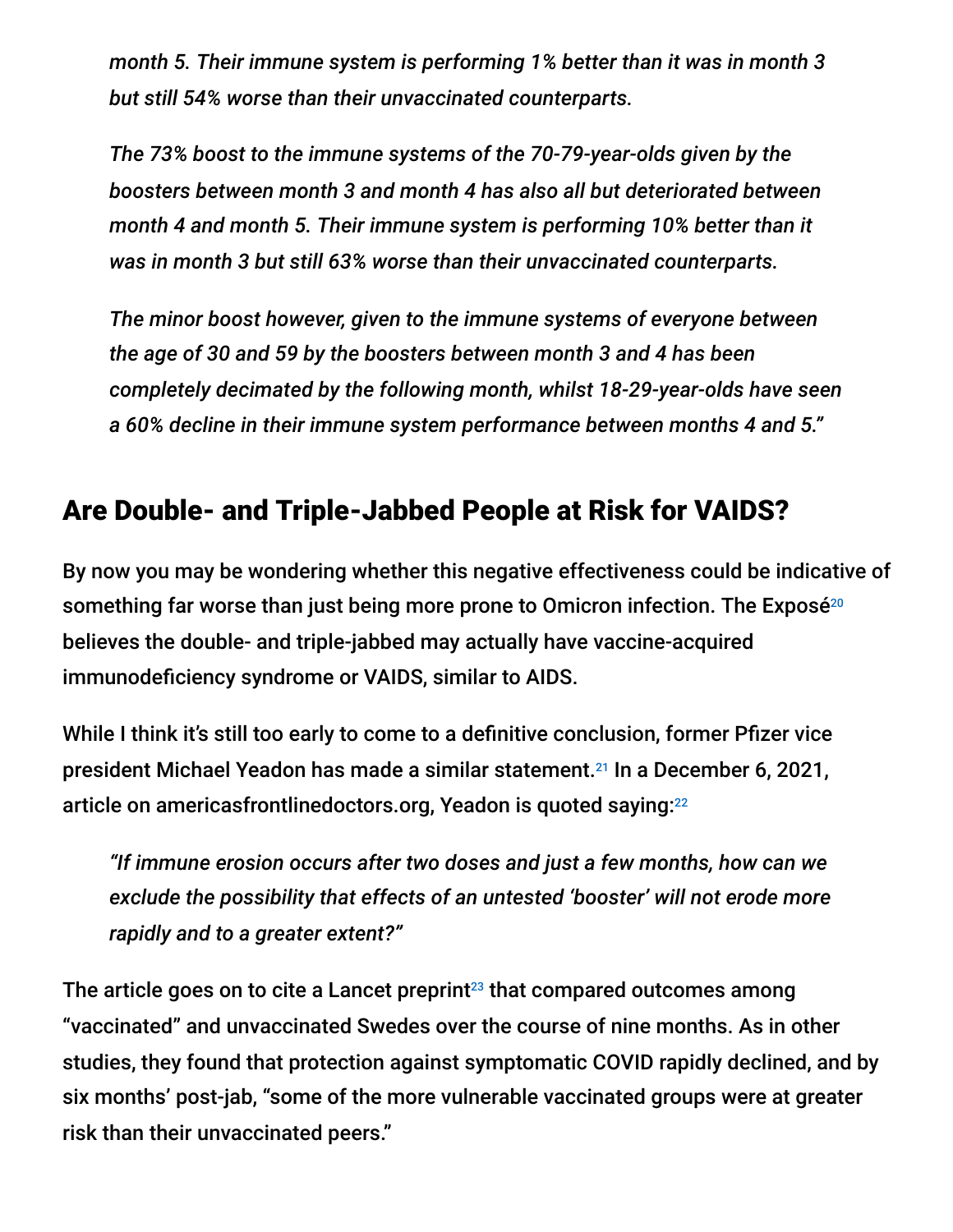*month 5. Their immune system is performing 1% better than it was in month 3 but still 54% worse than their unvaccinated counterparts.*

*The 73% boost to the immune systems of the 70-79-year-olds given by the boosters between month 3 and month 4 has also all but deteriorated between month 4 and month 5. Their immune system is performing 10% better than it was in month 3 but still 63% worse than their unvaccinated counterparts.*

*The minor boost however, given to the immune systems of everyone between the age of 30 and 59 by the boosters between month 3 and 4 has been completely decimated by the following month, whilst 18-29-year-olds have seen a 60% decline in their immune system performance between months 4 and 5."*

### Are Double- and Triple-Jabbed People at Risk for VAIDS?

By now you may be wondering whether this negative effectiveness could be indicative of something far worse than just being more prone to Omicron infection. The Exposé 20 believes the double- and triple-jabbed may actually have vaccine-acquired immunodeficiency syndrome or VAIDS, similar to AIDS.

While I think it's still too early to come to a definitive conclusion, former Pfizer vice president Michael Yeadon has made a similar statement.<sup>21</sup> In a December 6, 2021, article on americasfrontlinedoctors.org, Yeadon is quoted saying: 22

*"If immune erosion occurs after two doses and just a few months, how can we exclude the possibility that effects of an untested 'booster' will not erode more rapidly and to a greater extent?"*

The article goes on to cite a Lancet preprint $^{23}$  that compared outcomes among "vaccinated" and unvaccinated Swedes over the course of nine months. As in other studies, they found that protection against symptomatic COVID rapidly declined, and by six months' post-jab, "some of the more vulnerable vaccinated groups were at greater risk than their unvaccinated peers."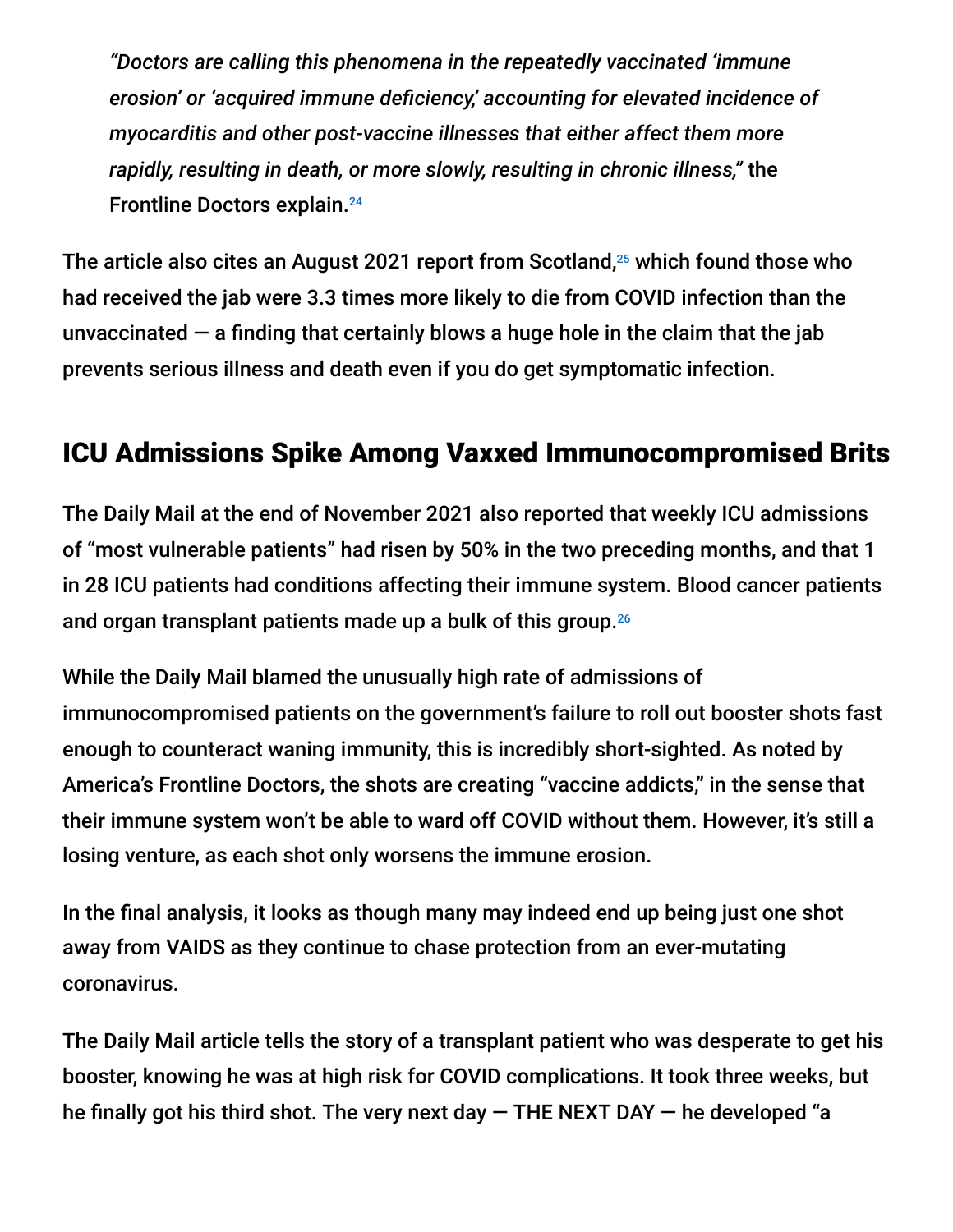*"Doctors are calling this phenomena in the repeatedly vaccinated 'immune erosion' or 'acquired immune deficiency,' accounting for elevated incidence of myocarditis and other post-vaccine illnesses that either affect them more rapidly, resulting in death, or more slowly, resulting in chronic illness,"* the Frontline Doctors explain. 24

The article also cites an August 2021 report from Scotland, $^{25}$  which found those who had received the jab were 3.3 times more likely to die from COVID infection than the unvaccinated  $-$  a finding that certainly blows a huge hole in the claim that the jab prevents serious illness and death even if you do get symptomatic infection.

### ICU Admissions Spike Among Vaxxed Immunocompromised Brits

The Daily Mail at the end of November 2021 also reported that weekly ICU admissions of "most vulnerable patients" had risen by 50% in the two preceding months, and that 1 in 28 ICU patients had conditions affecting their immune system. Blood cancer patients and organ transplant patients made up a bulk of this group. 26

While the Daily Mail blamed the unusually high rate of admissions of immunocompromised patients on the government's failure to roll out booster shots fast enough to counteract waning immunity, this is incredibly short-sighted. As noted by America's Frontline Doctors, the shots are creating "vaccine addicts," in the sense that their immune system won't be able to ward off COVID without them. However, it's still a losing venture, as each shot only worsens the immune erosion.

In the final analysis, it looks as though many may indeed end up being just one shot away from VAIDS as they continue to chase protection from an ever-mutating coronavirus.

The Daily Mail article tells the story of a transplant patient who was desperate to get his booster, knowing he was at high risk for COVID complications. It took three weeks, but he finally got his third shot. The very next day  $-$  THE NEXT DAY  $-$  he developed "a